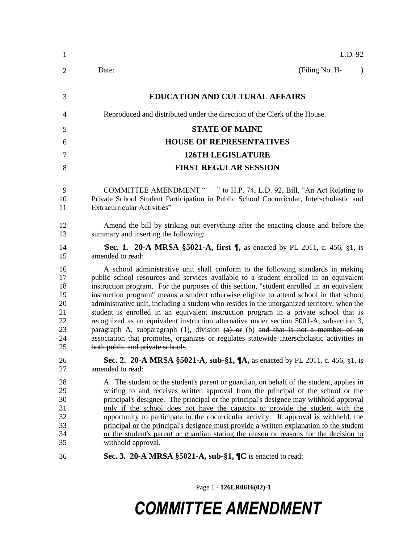| $\mathbf{1}$                                             | L.D. 92                                                                                                                                                                                                                                                                                                                                                                                                                                                                                                                                                                                                                                                                                                                                                                                                                                                                         |
|----------------------------------------------------------|---------------------------------------------------------------------------------------------------------------------------------------------------------------------------------------------------------------------------------------------------------------------------------------------------------------------------------------------------------------------------------------------------------------------------------------------------------------------------------------------------------------------------------------------------------------------------------------------------------------------------------------------------------------------------------------------------------------------------------------------------------------------------------------------------------------------------------------------------------------------------------|
| $\overline{2}$                                           | (Filing No. H-<br>Date:<br>$\lambda$                                                                                                                                                                                                                                                                                                                                                                                                                                                                                                                                                                                                                                                                                                                                                                                                                                            |
| 3                                                        | <b>EDUCATION AND CULTURAL AFFAIRS</b>                                                                                                                                                                                                                                                                                                                                                                                                                                                                                                                                                                                                                                                                                                                                                                                                                                           |
| $\overline{4}$                                           | Reproduced and distributed under the direction of the Clerk of the House.                                                                                                                                                                                                                                                                                                                                                                                                                                                                                                                                                                                                                                                                                                                                                                                                       |
| 5                                                        | <b>STATE OF MAINE</b>                                                                                                                                                                                                                                                                                                                                                                                                                                                                                                                                                                                                                                                                                                                                                                                                                                                           |
| 6                                                        | <b>HOUSE OF REPRESENTATIVES</b>                                                                                                                                                                                                                                                                                                                                                                                                                                                                                                                                                                                                                                                                                                                                                                                                                                                 |
| 7                                                        | <b>126TH LEGISLATURE</b>                                                                                                                                                                                                                                                                                                                                                                                                                                                                                                                                                                                                                                                                                                                                                                                                                                                        |
| 8                                                        | <b>FIRST REGULAR SESSION</b>                                                                                                                                                                                                                                                                                                                                                                                                                                                                                                                                                                                                                                                                                                                                                                                                                                                    |
| 9<br>10<br>11                                            | COMMITTEE AMENDMENT " " to H.P. 74, L.D. 92, Bill, "An Act Relating to<br>Private School Student Participation in Public School Cocurricular, Interscholastic and<br><b>Extracurricular Activities"</b>                                                                                                                                                                                                                                                                                                                                                                                                                                                                                                                                                                                                                                                                         |
| 12<br>13                                                 | Amend the bill by striking out everything after the enacting clause and before the<br>summary and inserting the following:                                                                                                                                                                                                                                                                                                                                                                                                                                                                                                                                                                                                                                                                                                                                                      |
| 14<br>15                                                 | Sec. 1. 20-A MRSA §5021-A, first ¶, as enacted by PL 2011, c. 456, §1, is<br>amended to read:                                                                                                                                                                                                                                                                                                                                                                                                                                                                                                                                                                                                                                                                                                                                                                                   |
| 16<br>17<br>18<br>19<br>20<br>21<br>22<br>23<br>24<br>25 | A school administrative unit shall conform to the following standards in making<br>public school resources and services available to a student enrolled in an equivalent<br>instruction program. For the purposes of this section, "student enrolled in an equivalent<br>instruction program" means a student otherwise eligible to attend school in that school<br>administrative unit, including a student who resides in the unorganized territory, when the<br>student is enrolled in an equivalent instruction program in a private school that is<br>recognized as an equivalent instruction alternative under section 5001-A, subsection 3,<br>paragraph A, subparagraph $(1)$ , division $(a)$ or $(b)$ and that is not a member of an<br>association that promotes, organizes or regulates statewide interscholastic activities in<br>both public and private schools. |
| 26<br>27                                                 | Sec. 2. 20-A MRSA §5021-A, sub-§1, ¶A, as enacted by PL 2011, c. 456, §1, is<br>amended to read:                                                                                                                                                                                                                                                                                                                                                                                                                                                                                                                                                                                                                                                                                                                                                                                |
| 28<br>29<br>30<br>31<br>32<br>33<br>34<br>35             | A. The student or the student's parent or guardian, on behalf of the student, applies in<br>writing to and receives written approval from the principal of the school or the<br>principal's designee. The principal or the principal's designee may withhold approval<br>only if the school does not have the capacity to provide the student with the<br>opportunity to participate in the cocurricular activity. If approval is withheld, the<br>principal or the principal's designee must provide a written explanation to the student<br>or the student's parent or guardian stating the reason or reasons for the decision to<br>withhold approval.                                                                                                                                                                                                                       |
| 36                                                       | Sec. 3. 20-A MRSA §5021-A, sub-§1, ¶C is enacted to read:                                                                                                                                                                                                                                                                                                                                                                                                                                                                                                                                                                                                                                                                                                                                                                                                                       |

Page 1 **- 126LR0616(02)-1**

## *COMMITTEE AMENDMENT*